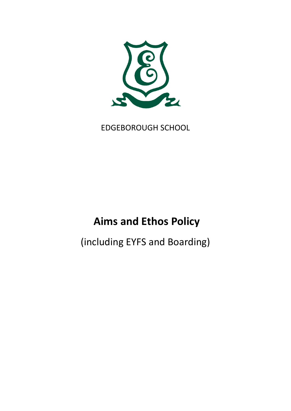

### EDGEBOROUGH SCHOOL

# **Aims and Ethos Policy**

## (including EYFS and Boarding)